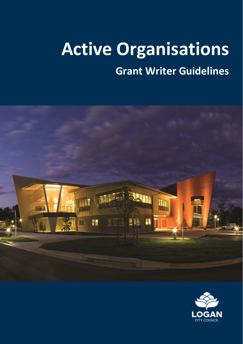# **Active Organisations**

 **Grant Writer Guidelines** 



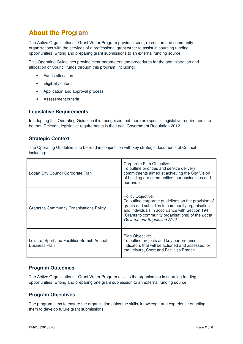# **About the Program**

 The Active Organisations - Grant Writer Program provides sport, recreation and community organisations with the services of a professional grant writer to assist in sourcing funding opportunities, writing and preparing grant submissions to an external funding source

 This Operating Guidelines provide clear parameters and procedures for the administration and allocation of Council funds through this program, including:

- $\bullet$ • Funds allocation
- Eligibility criteria
- Application and approval process
- Assessment criteria

# **Legislative Requirements**

 In adopting this Operating Guideline it is recognised that there are specific legislative requirements to be met. Relevant legislative requirements is the Local Government Regulation 2012.

#### **Strategic Context**

 The Operating Guideline is to be read in conjunction with key strategic documents of Council including:

| Logan City Council Corporate Plan                                   | Corporate Plan Objective:<br>To outline priorities and service delivery<br>commitments aimed at achieving the City Vision<br>of building our communities, our businesses and<br>our pride.                                                                      |
|---------------------------------------------------------------------|-----------------------------------------------------------------------------------------------------------------------------------------------------------------------------------------------------------------------------------------------------------------|
| <b>Grants to Community Organisations Policy</b>                     | Policy Objective:<br>To outline corporate guidelines on the provision of<br>grants and subsidies to community organisation<br>and individuals in accordance with Section 194<br>(Grants to community organisations) of the Local<br>Government Regulation 2012. |
| Leisure, Sport and Facilities Branch Annual<br><b>Business Plan</b> | Plan Objective:<br>To outline projects and key performance<br>indicators that will be actioned and assessed for<br>the Leisure, Sport and Facilities Branch.                                                                                                    |

#### **Program Outcomes**

 The Active Organisations - Grant Writer Program assists the organisation in sourcing funding opportunities, writing and preparing one grant submission to an external funding source.

#### **Program Objectives**

 The program aims to ensure the organisation gains the skills, knowledge and experience enabling them to develop future grant submissions.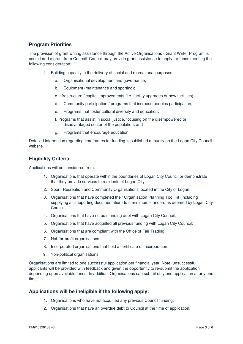# **Program Priorities**

 The provision of grant writing assistance through the Active Organisations - Grant Writer Program is considered a grant from Council. Council may provide grant assistance to apply for funds meeting the following consideration:

- following consideration: 1. Building capacity in the delivery of social and recreational purposes
	- a. Organisational development and governance;
	- b. Equipment (maintenance and sporting);

c.Infrastructure / capital improvements (i.e. facility upgrades or new facilities);

- d. Community participation / programs that increase peoples participation;
- e. Programs that foster cultural diversity and education;
- f. Programs that assist in social justice, focusing on the disempowered or disadvantaged sector of the population; and
- g. Programs that encourage education.

 Detailed information regarding timeframes for funding is published annually on the Logan City Council website.

# **Eligibility Criteria**

Applications will be considered from:

- 1. Organisations that operate within the boundaries of Logan City Council or demonstrate that they provide services to residents of Logan City;
- 2. Sport, Recreation and Community Organisations located in the City of Logan;
- 3. Organisations that have completed their Organisation Planning Tool Kit (including supplying all supporting documentation) to a minimum standard as deemed by Logan City Council;
- 4. Organisations that have no outstanding debt with Logan City Council;
- 5. Organisations that have acquitted all previous funding with Logan City Council;
- 6. Organisations that are compliant with the Office of Fair Trading;
- 7. Not-for-profit organisations;
- 8. Incorporated organisations that hold a certificate of incorporation;
- 9. Non-political organisations;

 Organisations are limited to one successful application per financial year. Note, unsuccessful applicants will be provided with feedback and given the opportunity to re-submit the application depending upon available funds. In addition, Organisations can submit only one application at any one time.

#### **Applications will be ineligible if the following apply:**

- 1. Organisations who have not acquitted any previous Council funding;
- 2. Organisations that have an overdue debt to Council at the time of application.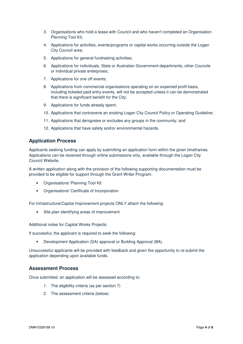- 3. Organisations who hold a lease with Council and who haven't completed an Organisation Planning Tool Kit;
- 4. Applications for activities, events/programs or capital works occurring outside the Logan City Council area;
- 5. Applications for general fundraising activities;
- 6. Applications for individuals, State or Australian Government departments, other Councils or individual private enterprises;
- 7. Applications for one off events;
- 8. Applications from commercial organisations operating on an expected profit basis, including ticketed paid entry events, will not be accepted unless it can be demonstrated that there is significant benefit for the City;
- 9. Applications for funds already spent;
- 10. Applications that contravene an existing Logan City Council Policy or Operating Guideline;
- 11. Applications that denigrates or excludes any groups in the community; and
- 12. Applications that have safety and/or environmental hazards.

# **Application Process**

 Applicants seeking funding can apply by submitting an application form within the given timeframes. Applications can be received through online submissions only, available through the Logan City Council Website.

 A written application along with the provision of the following supporting documentation must be provided to be eligible for support through the Grant Writer Program:

- Organisations' Planning Tool Kit
- Organisations' Certificate of Incorporation

For Infrastructure/Capital Improvement projects ONLY attach the following:

Site plan identifying areas of improvement

Additional notes for Capital Works Projects:

If successful, the applicant is required to seek the following:

• Development Application (DA) approval or Building Approval (BA).

 Unsuccessful applicants will be provided with feedback and given the opportunity to re-submit the application depending upon available funds.

# **Assessment Process**

Once submitted, an application will be assessed according to:

- 1. The eligibility criteria (as per section 7)
- 2. The assessment criteria (below)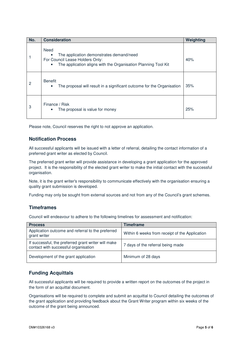| No.            | <b>Consideration</b>                                                                                                                                               | Weighting |
|----------------|--------------------------------------------------------------------------------------------------------------------------------------------------------------------|-----------|
|                | Need<br>The application demonstrates demand/need<br>For Council Lease Holders Only:<br>The application aligns with the Organisation Planning Tool Kit<br>$\bullet$ | 40%       |
| $\overline{c}$ | <b>Benefit</b><br>The proposal will result in a significant outcome for the Organisation<br>$\bullet$                                                              | 35%       |
| 3              | Finance / Risk<br>The proposal is value for money<br>$\bullet$                                                                                                     | 25%       |

Please note, Council reserves the right to not approve an application.

# **Notification Process**

 All successful applicants will be issued with a letter of referral, detailing the contact information of a preferred grant writer as elected by Council.

 The preferred grant writer will provide assistance in developing a grant application for the approved project. It is the responsibility of the elected grant writer to make the initial contact with the successful organisation.

 Note, it is the grant writer's responsibility to communicate effectively with the organisation ensuring a quality grant submission is developed.

Funding may only be sought from external sources and not from any of the Council's grant schemes.

#### **Timeframes**

Council will endeavour to adhere to the following timelines for assessment and notification:

| <b>Process</b>                                                                              | <b>Timeframe</b>                               |
|---------------------------------------------------------------------------------------------|------------------------------------------------|
| Application outcome and referral to the preferred<br>grant writer                           | Within 6 weeks from receipt of the Application |
| If successful, the preferred grant writer will make<br>contact with successful organisation | 7 days of the referral being made              |
| Development of the grant application                                                        | Minimum of 28 days                             |

# **Funding Acquittals**

 All successful applicants will be required to provide a written report on the outcomes of the project in the form of an acquittal document.

 Organisations will be required to complete and submit an acquittal to Council detailing the outcomes of the grant application and providing feedback about the Grant Writer program within six weeks of the outcome of the grant being announced.